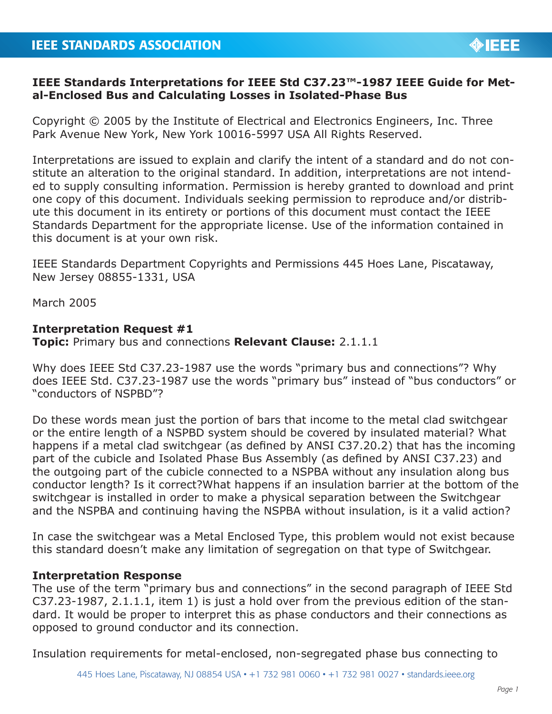## **IEEE Standards Interpretations for IEEE Std C37.23™-1987 IEEE Guide for Metal-Enclosed Bus and Calculating Losses in Isolated-Phase Bus**

Copyright © 2005 by the Institute of Electrical and Electronics Engineers, Inc. Three Park Avenue New York, New York 10016-5997 USA All Rights Reserved.

Interpretations are issued to explain and clarify the intent of a standard and do not constitute an alteration to the original standard. In addition, interpretations are not intended to supply consulting information. Permission is hereby granted to download and print one copy of this document. Individuals seeking permission to reproduce and/or distribute this document in its entirety or portions of this document must contact the IEEE Standards Department for the appropriate license. Use of the information contained in this document is at your own risk.

IEEE Standards Department Copyrights and Permissions 445 Hoes Lane, Piscataway, New Jersey 08855-1331, USA

March 2005

## **Interpretation Request #1**

**Topic:** Primary bus and connections **Relevant Clause:** 2.1.1.1

Why does IEEE Std C37.23-1987 use the words "primary bus and connections"? Why does IEEE Std. C37.23-1987 use the words "primary bus" instead of "bus conductors" or "conductors of NSPBD"?

Do these words mean just the portion of bars that income to the metal clad switchgear or the entire length of a NSPBD system should be covered by insulated material? What happens if a metal clad switchgear (as defined by ANSI C37.20.2) that has the incoming part of the cubicle and Isolated Phase Bus Assembly (as defined by ANSI C37.23) and the outgoing part of the cubicle connected to a NSPBA without any insulation along bus conductor length? Is it correct?What happens if an insulation barrier at the bottom of the switchgear is installed in order to make a physical separation between the Switchgear and the NSPBA and continuing having the NSPBA without insulation, is it a valid action?

In case the switchgear was a Metal Enclosed Type, this problem would not exist because this standard doesn't make any limitation of segregation on that type of Switchgear.

## **Interpretation Response**

The use of the term "primary bus and connections" in the second paragraph of IEEE Std C37.23-1987, 2.1.1.1, item 1) is just a hold over from the previous edition of the standard. It would be proper to interpret this as phase conductors and their connections as opposed to ground conductor and its connection.

Insulation requirements for metal-enclosed, non-segregated phase bus connecting to